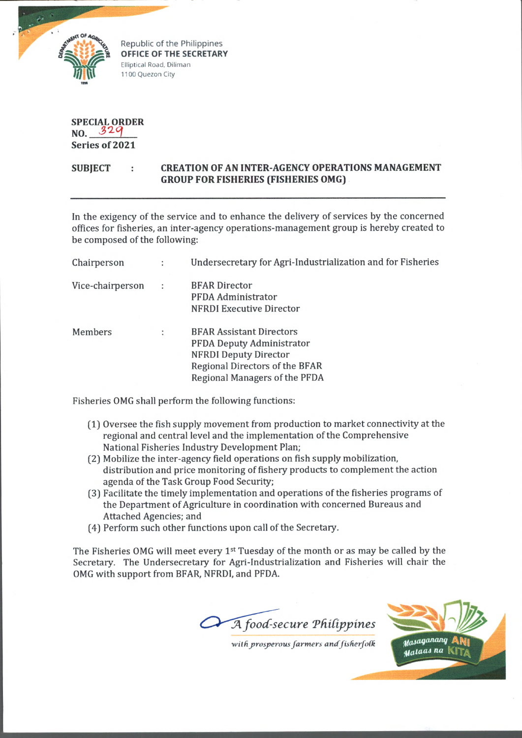

Republic of the Philippines **OFFICE OF THE SECRETARY** Elliptical Road, Diliman 1100 Quezon City

**SPECIAL ORDER NO. Series of 2021**

## **SUBJECT : CREATION OF AN INTER-AGENCY OPERATIONS MANAGEMENT GROUP FOR FISHERIES (FISHERIES OMG)**

In the exigency of the service and to enhance the delivery of services by the concerned offices for fisheries, an inter-agency operations-management group is hereby created to be composed of the following:

| Chairperson      | $\ddot{\cdot}$ | Undersecretary for Agri-Industrialization and for Fisheries                                                                                                            |
|------------------|----------------|------------------------------------------------------------------------------------------------------------------------------------------------------------------------|
| Vice-chairperson | $\ddot{\cdot}$ | <b>BFAR Director</b><br>PFDA Administrator<br>NFRDI Executive Director                                                                                                 |
| Members          | ÷              | <b>BFAR Assistant Directors</b><br><b>PFDA Deputy Administrator</b><br><b>NFRDI Deputy Director</b><br>Regional Directors of the BFAR<br>Regional Managers of the PFDA |

Fisheries OMG shall perform the following functions:

- (1) Oversee the fish supply movement from production to market connectivity at the regional and central level and the implementation of the Comprehensive National Fisheries Industry Development Plan;
- (2) Mobilize the inter-agency field operations on fish supply mobilization, distribution and price monitoring of fishery products to complement the action agenda of the Task Group Food Security;
- (3) Facilitate the timely implementation and operations of the fisheries programs of the Department of Agriculture in coordination with concerned Bureaus and Attached Agencies; and
- (4) Perform such other functions upon call of the Secretary.

The Fisheries OMG will meet every 1<sup>st</sup> Tuesday of the month or as may be called by the Secretary. The Undersecretary for Agri-Industrialization and Fisheries will chair the OMG with support from BFAR, NFRDI, and PFDA.

 $\widetilde{A}$  food-secure Philippines



with prosperous farmers and fisherfolk **Masaganang**